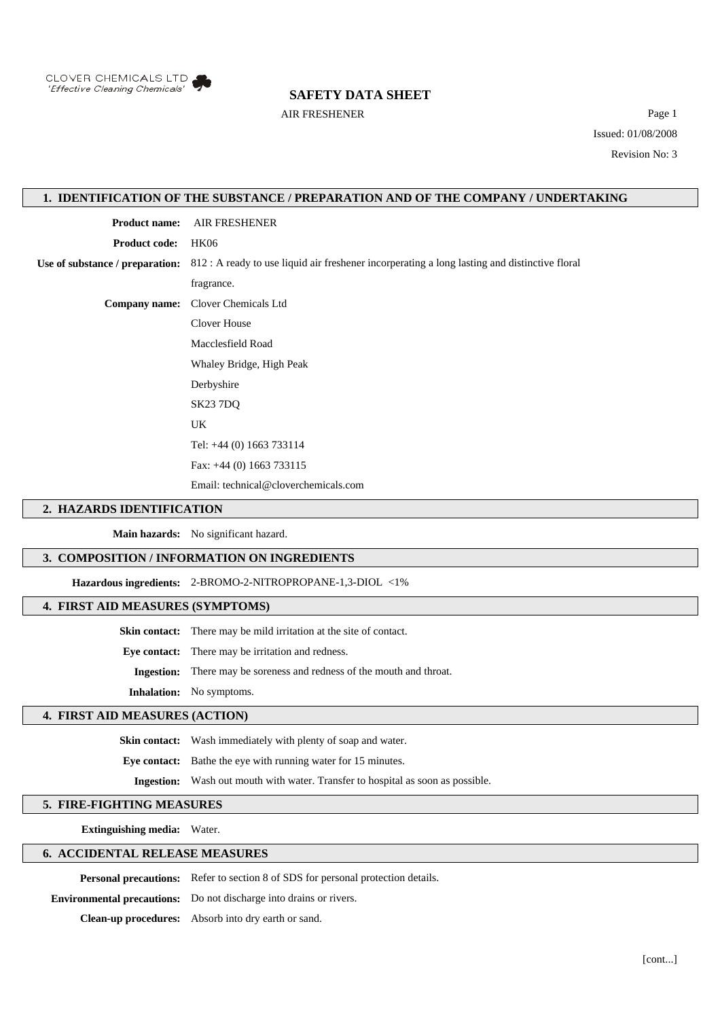

## **SAFETY DATA SHEET**

AIR FRESHENER Page 1 Issued: 01/08/2008 Revision No: 3

## **1. IDENTIFICATION OF THE SUBSTANCE / PREPARATION AND OF THE COMPANY / UNDERTAKING**

**Product name:** AIR FRESHENER

**Product code:** HK06

**Use of substance / preparation:** 812 : A ready to use liquid air freshener incorperating a long lasting and distinctive floral

fragrance.

**Company name:** Clover Chemicals Ltd

Clover House

Macclesfield Road

Whaley Bridge, High Peak Derbyshire

SK23 7DQ

UK

Tel: +44 (0) 1663 733114

Fax: +44 (0) 1663 733115

Email: technical@cloverchemicals.com

#### **2. HAZARDS IDENTIFICATION**

**Main hazards:** No significant hazard.

# **3. COMPOSITION / INFORMATION ON INGREDIENTS**

**Hazardous ingredients:** 2-BROMO-2-NITROPROPANE-1,3-DIOL <1%

## **4. FIRST AID MEASURES (SYMPTOMS)**

**Skin contact:** There may be mild irritation at the site of contact.

**Eye contact:** There may be irritation and redness.

**Ingestion:** There may be soreness and redness of the mouth and throat.

**Inhalation:** No symptoms.

## **4. FIRST AID MEASURES (ACTION)**

**Skin contact:** Wash immediately with plenty of soap and water.

**Eye contact:** Bathe the eye with running water for 15 minutes.

**Ingestion:** Wash out mouth with water. Transfer to hospital as soon as possible.

## **5. FIRE-FIGHTING MEASURES**

**Extinguishing media:** Water.

## **6. ACCIDENTAL RELEASE MEASURES**

**Personal precautions:** Refer to section 8 of SDS for personal protection details.

**Environmental precautions:** Do not discharge into drains or rivers.

**Clean-up procedures:** Absorb into dry earth or sand.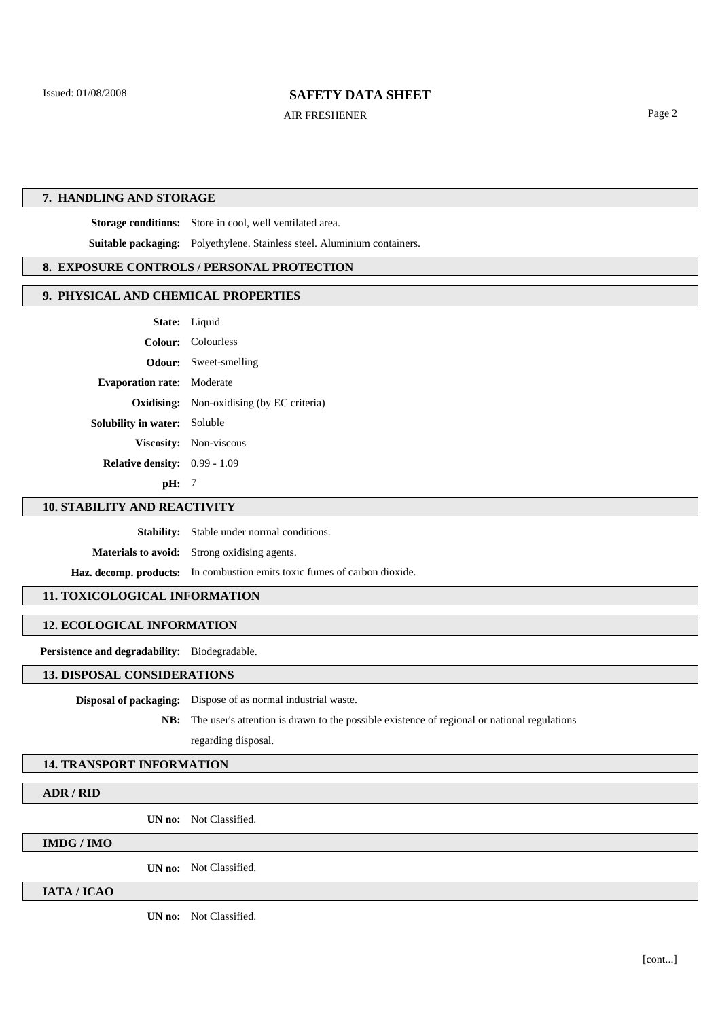## **SAFETY DATA SHEET**

AIR FRESHENER Page 2

## **7. HANDLING AND STORAGE**

**Storage conditions:** Store in cool, well ventilated area.

**Suitable packaging:** Polyethylene. Stainless steel. Aluminium containers.

## **8. EXPOSURE CONTROLS / PERSONAL PROTECTION**

#### **9. PHYSICAL AND CHEMICAL PROPERTIES**

|                                        | <b>State:</b> Liquid                             |
|----------------------------------------|--------------------------------------------------|
|                                        | Colour: Colourless                               |
|                                        | <b>Odour:</b> Sweet-smelling                     |
| <b>Evaporation rate:</b> Moderate      |                                                  |
|                                        | <b>Oxidising:</b> Non-oxidising (by EC criteria) |
| <b>Solubility in water:</b> Soluble    |                                                  |
|                                        | Viscosity: Non-viscous                           |
| <b>Relative density:</b> $0.99 - 1.09$ |                                                  |

**pH:** 7

## **10. STABILITY AND REACTIVITY**

**Stability:** Stable under normal conditions.

**Materials to avoid:** Strong oxidising agents.

**Haz. decomp. products:** In combustion emits toxic fumes of carbon dioxide.

## **11. TOXICOLOGICAL INFORMATION**

# **12. ECOLOGICAL INFORMATION**

**Persistence and degradability:** Biodegradable.

#### **13. DISPOSAL CONSIDERATIONS**

**Disposal of packaging:** Dispose of as normal industrial waste.

**NB:** The user's attention is drawn to the possible existence of regional or national regulations regarding disposal.

#### **14. TRANSPORT INFORMATION**

**ADR / RID**

**UN no:** Not Classified.

# **IMDG / IMO**

**UN no:** Not Classified.

#### **IATA / ICAO**

**UN no:** Not Classified.